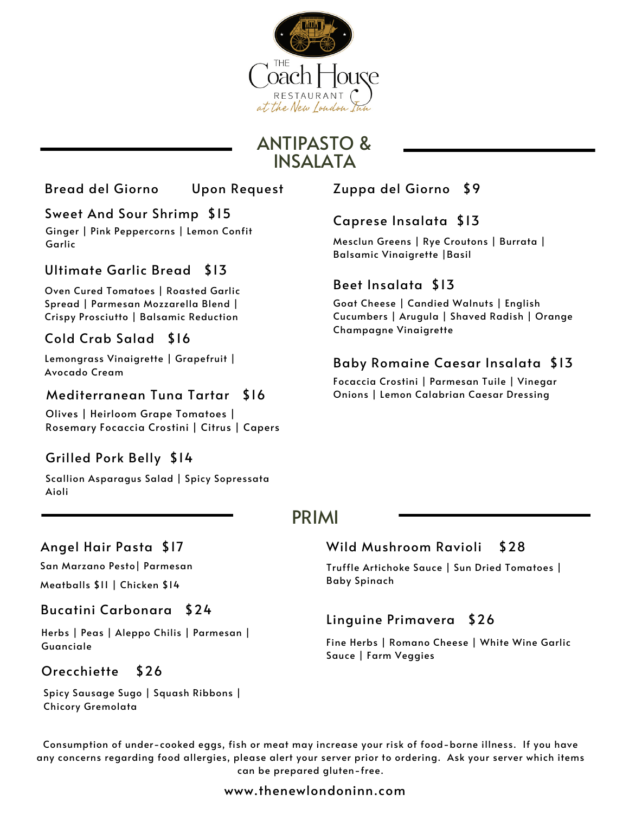

# ANTIPASTO & **INSALATA**

# Sweet And Sour Shrimp \$15

Ginger | Pink Peppercorns | Lemon Confit Garlic

# Ultimate Garlic Bread \$13

Beet Insalata \$13 Oven Cured Tomatoes <sup>|</sup> Roasted Garlic Spread | Parmesan Mozzarella Blend | Crispy Prosciutto | Balsamic Reduction

### Cold Crab Salad \$16

Lemongrass Vinaigrette | Grapefruit | Avocado Cream

Olives | Heirloom Grape Tomatoes | Rosemary Focaccia Crostini | Citrus | Capers

# Grilled Pork Belly \$14

Scallion Asparagus Salad | Spicy Sopressata Aioli

## Angel Hair Pasta \$17

San Marzano Pesto| Parmesan

Meatballs \$11 | Chicken \$14

#### Bucatini Carbonara \$24

Herbs | Peas | Aleppo Chilis | Parmesan | Guanciale

### Orecchiette \$26

Spicy Sausage Sugo | Squash Ribbons | Chicory Gremolata

Bread del Giorno Upon Request Zuppa del Giorno \$9

### Caprese Insalata \$13

Mesclun Greens | Rye Croutons | Burrata | Balsamic Vinaigrette |Basil

Goat Cheese | Candied Walnuts | English Cucumbers | Arugula | Shaved Radish | Orange Champagne Vinaigrette

# Baby Romaine Caesar Insalata \$13

Focaccia Crostini | Parmesan Tuile | Vinegar Mediterranean Tuna Tartar \$16 Onions | Lemon Calabrian Caesar Dressing

# PRIMI

### Wild [Mushroom](https://www.google.com/search?sxsrf=AOaemvJkmOJ2m6L7d2nsL4kOEbk7XpjBig:1634136585715&q=Orecchiette&spell=1&sa=X&ved=2ahUKEwjOttKV0cfzAhXkRd8KHZNuA-IQBSgAegQIARAx) Ravioli \$28

Truffle Artichoke Sauce | Sun Dried Tomatoes | Baby Spinach

### Linguine Primavera \$26

Fine Herbs | Romano Cheese | White Wine Garlic Sauce | Farm Veggies

Consumption of under-cooked eggs, fish or meat may increase your risk of food-borne illness. If you have any concerns regarding food allergies, please alert your server prior to ordering. Ask your server which items can be prepared gluten-free.

#### www.thenewlondoninn.com